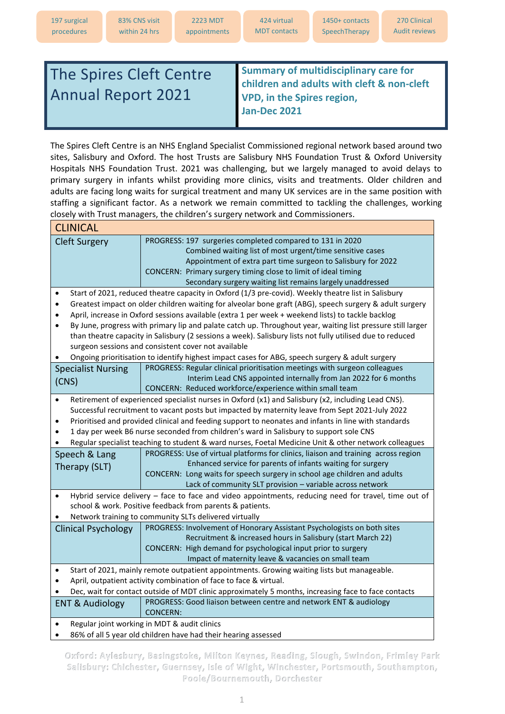## The Spires Cleft Centre Annual Report 2021

**Summary of multidisciplinary care for children and adults with cleft & non-cleft VPD, in the Spires region, Jan-Dec 2021**

The Spires Cleft Centre is an NHS England Specialist Commissioned regional network based around two sites, Salisbury and Oxford. The host Trusts are Salisbury NHS Foundation Trust & Oxford University Hospitals NHS Foundation Trust. 2021 was challenging, but we largely managed to avoid delays to primary surgery in infants whilst providing more clinics, visits and treatments. Older children and adults are facing long waits for surgical treatment and many UK services are in the same position with staffing a significant factor. As a network we remain committed to tackling the challenges, working closely with Trust managers, the children's surgery network and Commissioners.

| <b>CLINICAL</b>                                                                                                          |                                                                                                       |  |  |
|--------------------------------------------------------------------------------------------------------------------------|-------------------------------------------------------------------------------------------------------|--|--|
| <b>Cleft Surgery</b>                                                                                                     | PROGRESS: 197 surgeries completed compared to 131 in 2020                                             |  |  |
|                                                                                                                          | Combined waiting list of most urgent/time sensitive cases                                             |  |  |
|                                                                                                                          | Appointment of extra part time surgeon to Salisbury for 2022                                          |  |  |
|                                                                                                                          | CONCERN: Primary surgery timing close to limit of ideal timing                                        |  |  |
|                                                                                                                          | Secondary surgery waiting list remains largely unaddressed                                            |  |  |
| Start of 2021, reduced theatre capacity in Oxford (1/3 pre-covid). Weekly theatre list in Salisbury<br>٠                 |                                                                                                       |  |  |
| Greatest impact on older children waiting for alveolar bone graft (ABG), speech surgery & adult surgery<br>$\bullet$     |                                                                                                       |  |  |
| April, increase in Oxford sessions available (extra 1 per week + weekend lists) to tackle backlog                        |                                                                                                       |  |  |
| By June, progress with primary lip and palate catch up. Throughout year, waiting list pressure still larger<br>$\bullet$ |                                                                                                       |  |  |
| than theatre capacity in Salisbury (2 sessions a week). Salisbury lists not fully utilised due to reduced                |                                                                                                       |  |  |
| surgeon sessions and consistent cover not available                                                                      |                                                                                                       |  |  |
| Ongoing prioritisation to identify highest impact cases for ABG, speech surgery & adult surgery                          |                                                                                                       |  |  |
| <b>Specialist Nursing</b>                                                                                                | PROGRESS: Regular clinical prioritisation meetings with surgeon colleagues                            |  |  |
| (CNS)                                                                                                                    | Interim Lead CNS appointed internally from Jan 2022 for 6 months                                      |  |  |
|                                                                                                                          | CONCERN: Reduced workforce/experience within small team                                               |  |  |
| $\bullet$                                                                                                                | Retirement of experienced specialist nurses in Oxford (x1) and Salisbury (x2, including Lead CNS).    |  |  |
|                                                                                                                          | Successful recruitment to vacant posts but impacted by maternity leave from Sept 2021-July 2022       |  |  |
|                                                                                                                          | Prioritised and provided clinical and feeding support to neonates and infants in line with standards  |  |  |
|                                                                                                                          | 1 day per week B6 nurse seconded from children's ward in Salisbury to support sole CNS                |  |  |
|                                                                                                                          | Regular specialist teaching to student & ward nurses, Foetal Medicine Unit & other network colleagues |  |  |
| Speech & Lang                                                                                                            | PROGRESS: Use of virtual platforms for clinics, liaison and training across region                    |  |  |
| Therapy (SLT)                                                                                                            | Enhanced service for parents of infants waiting for surgery                                           |  |  |
|                                                                                                                          | CONCERN: Long waits for speech surgery in school age children and adults                              |  |  |
|                                                                                                                          | Lack of community SLT provision - variable across network                                             |  |  |
|                                                                                                                          | Hybrid service delivery - face to face and video appointments, reducing need for travel, time out of  |  |  |
|                                                                                                                          | school & work. Positive feedback from parents & patients.                                             |  |  |
|                                                                                                                          | Network training to community SLTs delivered virtually                                                |  |  |
| Clinical Psychology                                                                                                      | PROGRESS: Involvement of Honorary Assistant Psychologists on both sites                               |  |  |
|                                                                                                                          | Recruitment & increased hours in Salisbury (start March 22)                                           |  |  |
|                                                                                                                          | CONCERN: High demand for psychological input prior to surgery                                         |  |  |
|                                                                                                                          | Impact of maternity leave & vacancies on small team                                                   |  |  |
| ٠                                                                                                                        | Start of 2021, mainly remote outpatient appointments. Growing waiting lists but manageable.           |  |  |
| April, outpatient activity combination of face to face & virtual.                                                        |                                                                                                       |  |  |
| Dec, wait for contact outside of MDT clinic approximately 5 months, increasing face to face contacts                     |                                                                                                       |  |  |
| <b>ENT &amp; Audiology</b>                                                                                               | PROGRESS: Good liaison between centre and network ENT & audiology                                     |  |  |
|                                                                                                                          | <b>CONCERN:</b>                                                                                       |  |  |
| Regular joint working in MDT & audit clinics                                                                             |                                                                                                       |  |  |
|                                                                                                                          | 86% of all 5 year old children have had their hearing assessed                                        |  |  |

Oxford: Aylesbury, Basingstoke, Milton Keynes, Reading, Slough, Swindon, Frimley Park Salisbury: Chichester, Guernsey, Isle of Wight, Winchester, Portsmouth, Southampton, Poole/Bournemouth, Dorchester